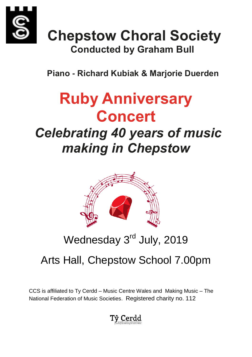

## **Chepstow Choral Society Conducted by Graham Bull**

 **Piano - Richard Kubiak & Marjorie Duerden**

# **Ruby Anniversary Concert**

## *Celebrating 40 years of music making in Chepstow*



## Wednesday 3<sup>rd</sup> July, 2019

### Arts Hall, Chepstow School 7.00pm

CCS is affiliated to Ty Cerdd – Music Centre Wales and Making Music – The National Federation of Music Societies. Registered charity no. 112

### Tŷ Cerdd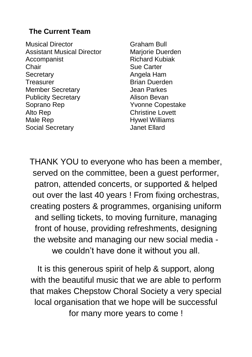#### **The Current Team**

Musical Director Graham Bull Assistant Musical Director Mariorie Duerden Accompanist Richard Kubiak Chair Sue Carter Secretary **Angela Ham** Treasurer **Brian Duerden** Member Secretary **Contact Secretary** Jean Parkes Publicity Secretary **Alison Bevan** Soprano Rep Yvonne Copestake Alto Rep **Christine Lovett** Male Rep **Hywel Williams** Social Secretary **Contact Social Secretary Janet Ellard** 

THANK YOU to everyone who has been a member, served on the committee, been a guest performer, patron, attended concerts, or supported & helped out over the last 40 years ! From fixing orchestras, creating posters & programmes, organising uniform and selling tickets, to moving furniture, managing front of house, providing refreshments, designing the website and managing our new social media we couldn't have done it without you all.

It is this generous spirit of help & support, along with the beautiful music that we are able to perform that makes Chepstow Choral Society a very special local organisation that we hope will be successful for many more years to come !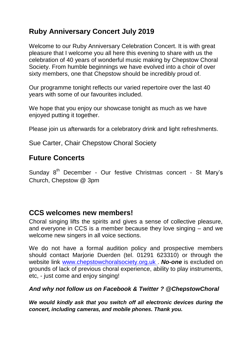#### **Ruby Anniversary Concert July 2019**

Welcome to our Ruby Anniversary Celebration Concert. It is with great pleasure that I welcome you all here this evening to share with us the celebration of 40 years of wonderful music making by Chepstow Choral Society. From humble beginnings we have evolved into a choir of over sixty members, one that Chepstow should be incredibly proud of.

Our programme tonight reflects our varied repertoire over the last 40 years with some of our favourites included.

We hope that you enjoy our showcase tonight as much as we have enjoyed putting it together.

Please join us afterwards for a celebratory drink and light refreshments.

Sue Carter, Chair Chepstow Choral Society

#### **Future Concerts**

Sunday 8<sup>th</sup> December - Our festive Christmas concert - St Mary's Church, Chepstow @ 3pm

#### **CCS welcomes new members!**

Choral singing lifts the spirits and gives a sense of collective pleasure, and everyone in CCS is a member because they love singing – and we welcome new singers in all voice sections.

We do not have a formal audition policy and prospective members should contact Marjorie Duerden (tel. 01291 623310) or through the website link [www.chepstowchoralsociety.org.uk](http://www.chepstowchoralsociety.org.uk/) . *No-one* is excluded on grounds of lack of previous choral experience, ability to play instruments, etc, - just come and enjoy singing!

#### *And why not follow us on Facebook & Twitter ? @ChepstowChoral*

*We would kindly ask that you switch off all electronic devices during the concert, including cameras, and mobile phones. Thank you.*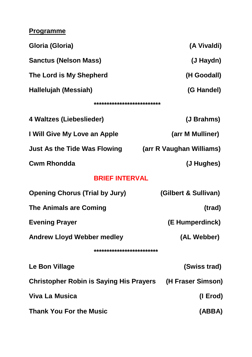#### **Programme**

| Gloria (Gloria)                                           | (A Vivaldi)              |
|-----------------------------------------------------------|--------------------------|
| <b>Sanctus (Nelson Mass)</b>                              | (J Haydn)                |
| The Lord is My Shepherd                                   | (H Goodall)              |
| Hallelujah (Messiah)                                      | (G Handel)               |
| **************************                                |                          |
| 4 Waltzes (Liebeslieder)                                  | (J Brahms)               |
| I Will Give My Love an Apple                              | (arr M Mulliner)         |
| <b>Just As the Tide Was Flowing</b>                       | (arr R Vaughan Williams) |
| <b>Cwm Rhondda</b>                                        | (J Hughes)               |
| <b>BRIEF INTERVAL</b>                                     |                          |
| <b>Opening Chorus (Trial by Jury)</b>                     | (Gilbert & Sullivan)     |
| <b>The Animals are Coming</b>                             | (trad)                   |
| <b>Evening Prayer</b>                                     | (E Humperdinck)          |
| <b>Andrew Lloyd Webber medley</b>                         | (AL Webber)              |
| *************************                                 |                          |
| Le Bon Village                                            | (Swiss trad)             |
| Christopher Robin is Saying His Prayers (H Fraser Simson) |                          |
| <b>Viva La Musica</b>                                     | (I Erod)                 |
| <b>Thank You For the Music</b>                            | (ABBA)                   |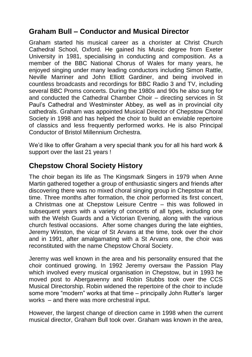#### **Graham Bull – Conductor and Musical Director**

Graham started his musical career as a chorister at Christ Church Cathedral School, Oxford. He gained his Music degree from Exeter University in 1981, specialising in conducting and composition. As a member of the BBC National Chorus of Wales for many years, he enjoyed singing under many leading conductors including Simon Rattle, Neville Marriner and John Elliott Gardiner, and being involved in countless broadcasts and recordings for BBC Radio 3 and TV, including several BBC Proms concerts. During the 1980s and 90s he also sung for and conducted the Cathedral Chamber Choir – directing services in St Paul's Cathedral and Westminster Abbey, as well as in provincial city cathedrals. Graham was appointed Musical Director of Chepstow Choral Society in 1998 and has helped the choir to build an enviable repertoire of classics and less frequently performed works. He is also Principal Conductor of Bristol Millennium Orchestra.

We'd like to offer Graham a very special thank you for all his hard work & support over the last 21 years !

#### **Chepstow Choral Society History**

The choir began its life as The Kingsmark Singers in 1979 when Anne Martin gathered together a group of enthusiastic singers and friends after discovering there was no mixed choral singing group in Chepstow at that time. Three months after formation, the choir performed its first concert, a Christmas one at Chepstow Leisure Centre – this was followed in subsequent years with a variety of concerts of all types, including one with the Welsh Guards and a Victorian Evening, along with the various church festival occasions. After some changes during the late eighties, Jeremy Winston, the vicar of St Arvans at the time, took over the choir and in 1991, after amalgamating with a St Arvans one, the choir was reconstituted with the name Chepstow Choral Society.

Jeremy was well known in the area and his personality ensured that the choir continued growing. In 1992 Jeremy oversaw the Passion Play which involved every musical organisation in Chepstow, but in 1993 he moved post to Abergavenny and Robin Stubbs took over the CCS Musical Directorship. Robin widened the repertoire of the choir to include some more "modern" works at that time – principally John Rutter's larger works – and there was more orchestral input.

However, the largest change of direction came in 1998 when the current musical director, Graham Bull took over. Graham was known in the area,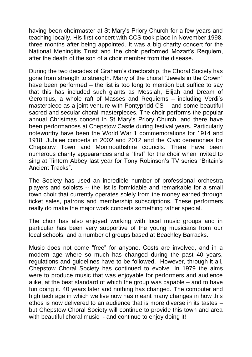having been choirmaster at St Mary's Priory Church for a few years and teaching locally. His first concert with CCS took place in November 1998, three months after being appointed. It was a big charity concert for the National Meningitis Trust and the choir performed Mozart's Requiem, after the death of the son of a choir member from the disease.

During the two decades of Graham's directorship, the Choral Society has gone from strength to strength. Many of the choral "Jewels in the Crown" have been performed – the list is too long to mention but suffice to say that this has included such giants as Messiah, Elijah and Dream of Gerontius, a whole raft of Masses and Requiems – including Verdi's masterpiece as a joint venture with Pontypridd CS -- and some beautiful sacred and secular choral masterpieces. The choir performs the popular annual Christmas concert in St Mary's Priory Church, and there have been performances at Chepstow Castle during festival years. Particularly noteworthy have been the World War 1 commemorations for 1914 and 1918, Jubilee concerts in 2002 and 2012 and the Civic ceremonies for Chepstow Town and Monmouthshire councils. There have been numerous charity appearances and a "first" for the choir when invited to sing at Tintern Abbey last year for Tony Robinson's TV series "Britain's Ancient Tracks".

The Society has used an incredible number of professional orchestra players and soloists -- the list is formidable and remarkable for a small town choir that currently operates solely from the money earned through ticket sales, patrons and membership subscriptions. These performers really do make the major work concerts something rather special.

The choir has also enjoyed working with local music groups and in particular has been very supportive of the young musicians from our local schools, and a number of groups based at Beachley Barracks.

Music does not come "free" for anyone. Costs are involved, and in a modern age where so much has changed during the past 40 years, regulations and guidelines have to be followed. However, through it all, Chepstow Choral Society has continued to evolve. In 1979 the aims were to produce music that was enjoyable for performers and audience alike, at the best standard of which the group was capable – and to have fun doing it. 40 years later and nothing has changed. The computer and high tech age in which we live now has meant many changes in how this ethos is now delivered to an audience that is more diverse in its tastes – but Chepstow Choral Society will continue to provide this town and area with beautiful choral music - and continue to enjoy doing it!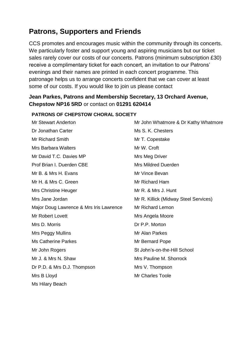#### **Patrons, Supporters and Friends**

CCS promotes and encourages music within the community through its concerts. We particularly foster and support young and aspiring musicians but our ticket sales rarely cover our costs of our concerts. Patrons (minimum subscription £30) receive a complimentary ticket for each concert, an invitation to our Patrons' evenings and their names are printed in each concert programme. This patronage helps us to arrange concerts confident that we can cover at least some of our costs. If you would like to join us please contact

#### **Jean Parkes, Patrons and Membership Secretary, 13 Orchard Avenue, Chepstow NP16 5RD** or contact on **01291 620414**

#### Mr Stewart Anderton **Mr John Whatmore & Dr Kathy Whatmore** Dr Jonathan Carter **Ms S. K. Chesters** Ms S. K. Chesters Mr Richard Smith Mr T. Copestake Mrs Barbara Walters Mrs Barbara Walters Mrs Barbara Mrs Barbara Mrs Barbara Mrs B Mr David T.C. Davies MP Mrs Meg Driver **Prof Brian I. Duerden CBF** Mrs Mildred Duerden Mr B. & Mrs H. Evans Mr Vince Bevan Mr H. & Mrs C. Green Mr Richard Ham Mrs Christine Heuger Mr R. & Mrs J. Hunt Mrs Jane Jordan **Mr R. Killick (Midway Steel Services)** Major Doug Lawrence & Mrs Iris Lawrence Mr Richard Lemon Mr Robert Lovett **Mrs** Angela Moore Mrs D. Morris **D. Morris C. L. Morton** Mrs Peggy Mullins Mr Alan Parkes Ms Catherine Parkes Mr Bernard Pope Mr John Rogers St John's-on-the-Hill School Mr J. & Mrs N. Shaw **Mrs Pauline M. Shorrock** Dr P.D. & Mrs D.J. Thompson Mrs V. Thompson Mrs B Lloyd **Mrs** B Lloyd Ms Hilary Beach

#### **PATRONS OF CHEPSTOW CHORAL SOCIETY**